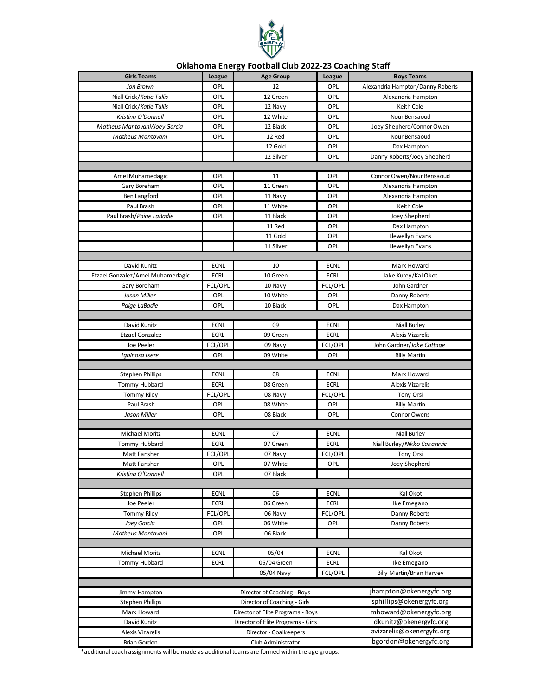

## **Oklahoma Energy Football Club 2022-23 Coaching Staff**

| <b>Girls Teams</b>               | <b>League</b> | <b>Age Group</b>                   | League      | <b>Boys Teams</b>                |
|----------------------------------|---------------|------------------------------------|-------------|----------------------------------|
| Jon Brown                        | OPL           | 12                                 | OPL         | Alexandria Hampton/Danny Roberts |
| Niall Crick/Katie Tullis         | OPL           | 12 Green                           | OPL         | Alexandria Hampton               |
| Niall Crick/Katie Tullis         | OPL           | 12 Navy                            | OPL         | Keith Cole                       |
| Kristina O'Donnell               | OPL           | 12 White                           | OPL         | Nour Bensaoud                    |
| Matheus Mantovani/Joey Garcia    | OPL           | 12 Black                           | OPL         | Joey Shepherd/Connor Owen        |
| Matheus Mantovani                | OPL           | 12 Red                             | OPL         | Nour Bensaoud                    |
|                                  |               | 12 Gold                            | OPL         | Dax Hampton                      |
|                                  |               | 12 Silver                          | OPL         | Danny Roberts/Joey Shepherd      |
|                                  |               |                                    |             |                                  |
| Amel Muhamedagic                 | OPL           | 11                                 | OPL         | Connor Owen/Nour Bensaoud        |
| Gary Boreham                     | OPL           | 11 Green                           | OPL         | Alexandria Hampton               |
| Ben Langford                     | OPL           | 11 Navy                            | OPL         | Alexandria Hampton               |
| Paul Brash                       | OPL           | 11 White                           | OPL         | Keith Cole                       |
| Paul Brash/Paige LaBadie         | OPL           | 11 Black                           | OPL         | Joey Shepherd                    |
|                                  |               | 11 Red                             | OPL         | Dax Hampton                      |
|                                  |               | 11 Gold                            | OPL         | Llewellyn Evans                  |
|                                  |               | 11 Silver                          | OPL         | Llewellyn Evans                  |
|                                  |               |                                    |             |                                  |
| David Kunitz                     | <b>ECNL</b>   | 10                                 | <b>ECNL</b> | Mark Howard                      |
| Etzael Gonzalez/Amel Muhamedagic | <b>ECRL</b>   | 10 Green                           | <b>ECRL</b> | Jake Kurey/Kal Okot              |
| Gary Boreham                     | FCL/OPL       | 10 Navy                            | FCL/OPL     | John Gardner                     |
| Jason Miller                     | OPL           | 10 White                           | OPL         | Danny Roberts                    |
| Paige LaBadie                    | OPL           | 10 Black                           | OPL         | Dax Hampton                      |
|                                  |               |                                    |             |                                  |
| David Kunitz                     | <b>ECNL</b>   | 09                                 | <b>ECNL</b> | Niall Burley                     |
| <b>Etzael Gonzalez</b>           | <b>ECRL</b>   | 09 Green                           | <b>ECRL</b> | <b>Alexis Vizarelis</b>          |
| Joe Peeler                       | FCL/OPL       | 09 Navy                            | FCL/OPL     | John Gardner/Jake Cottage        |
| Igbinosa Isere                   | OPL           | 09 White                           | OPL         | <b>Billy Martin</b>              |
|                                  |               |                                    |             |                                  |
| <b>Stephen Phillips</b>          | <b>ECNL</b>   | 08                                 | <b>ECNL</b> | Mark Howard                      |
| Tommy Hubbard                    | <b>ECRL</b>   | 08 Green                           | <b>ECRL</b> | <b>Alexis Vizarelis</b>          |
| <b>Tommy Riley</b>               | FCL/OPL       | 08 Navy                            | FCL/OPL     | Tony Orsi                        |
| Paul Brash                       | OPL           | 08 White                           | OPL         | <b>Billy Martin</b>              |
| Jason Miller                     | OPL           | 08 Black                           | OPL         | Connor Owens                     |
|                                  |               |                                    |             |                                  |
| Michael Moritz                   | <b>ECNL</b>   | 07                                 | <b>ECNL</b> | Niall Burley                     |
| Tommy Hubbard                    | <b>ECRL</b>   | 07 Green                           | <b>ECRL</b> | Niall Burley/Nikko Cakarevic     |
| Matt Fansher                     | FCL/OPL       | 07 Navy                            | FCL/OPL     | Tony Orsi                        |
| Matt Fansher                     | OPL           | 07 White                           | OPL         | Joev Shepherd                    |
| Kristina O'Donnell               | OPL           | 07 Black                           |             |                                  |
|                                  |               |                                    |             |                                  |
| <b>Stephen Phillips</b>          | <b>ECNL</b>   | 06                                 | <b>ECNL</b> | Kal Okot                         |
| Joe Peeler                       | <b>ECRL</b>   | 06 Green                           | <b>ECRL</b> | Ike Emegano                      |
| <b>Tommy Riley</b>               | FCL/OPL       | 06 Navy                            | FCL/OPL     | Danny Roberts                    |
| Joey Garcia                      | OPL           | 06 White                           | OPL         | Danny Roberts                    |
| Matheus Mantovani                | OPL           | 06 Black                           |             |                                  |
|                                  |               |                                    |             |                                  |
| Michael Moritz                   | <b>ECNL</b>   | 05/04                              | <b>ECNL</b> | Kal Okot                         |
| Tommy Hubbard                    | ECRL          | 05/04 Green                        | <b>ECRL</b> | Ike Emegano                      |
|                                  |               | 05/04 Navy                         | FCL/OPL     | Billy Martin/Brian Harvey        |
|                                  |               |                                    |             |                                  |
| Jimmy Hampton                    |               | Director of Coaching - Boys        |             | jhampton@okenergyfc.org          |
| <b>Stephen Phillips</b>          |               | Director of Coaching - Girls       |             | sphillips@okenergyfc.org         |
| Mark Howard                      |               | Director of Elite Programs - Boys  |             | mhoward@okenergyfc.org           |
| David Kunitz                     |               | Director of Elite Programs - Girls |             | dkunitz@okenergyfc.org           |
| Alexis Vizarelis                 |               | Director - Goalkeepers             |             | avizarelis@okenergyfc.org        |
| Brian Gordon                     |               | Club Administrator                 |             | bgordon@okenergyfc.org           |

\*additional coach assignments will be made as additional teams are formed within the age groups.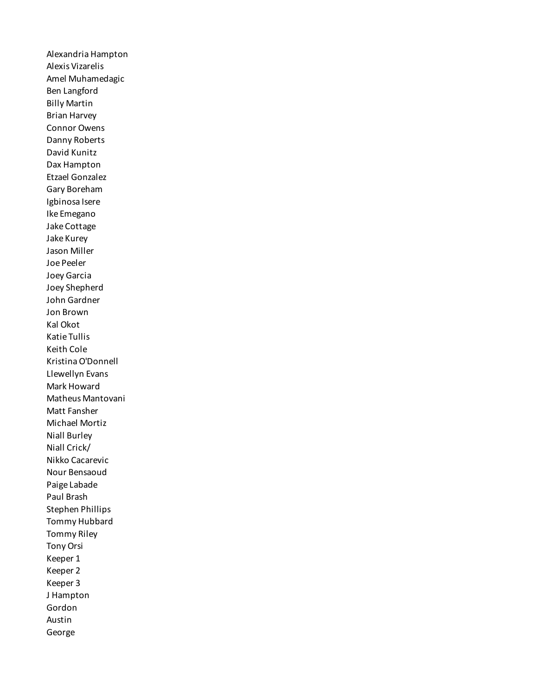Alexandria Hampton Alexis Vizarelis Amel Muhamedagic Ben Langford Billy Martin Brian Harvey Connor Owens Danny Roberts David Kunitz Dax Hampton Etzael Gonzalez Gary Boreham Igbinosa Isere Ike Emegano Jake Cottage Jake Kurey Jason Miller Joe Peeler Joey Garcia Joey Shepherd John Gardner Jon Brown Kal Okot Katie Tullis Keith Cole Kristina O'Donnell Llewellyn Evans Mark Howard Matheus Mantovani Matt Fansher Michael Mortiz Niall Burley Niall Crick/ Nikko Cacarevic Nour Bensaoud Paige Labade Paul Brash Stephen Phillips Tommy Hubbard Tommy Riley Tony Orsi Keeper 1 Keeper 2 Keeper 3 J Hampton Gordon Austin George